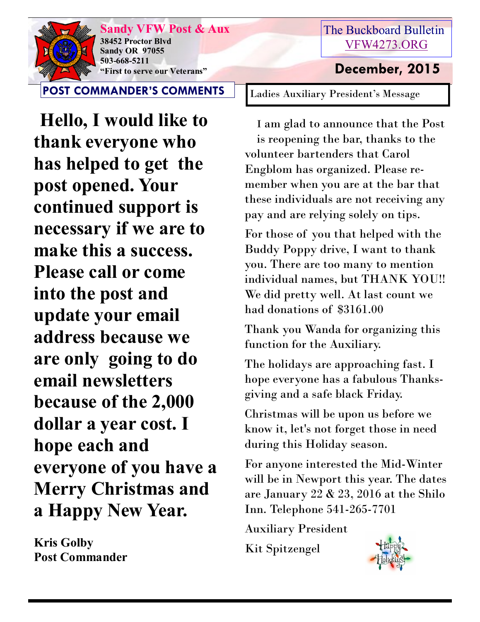

**Sandy VFW Post & Aux 38452 Proctor Blvd Sandy OR 97055 503-668-5211 "First to serve our Veterans" December, 2015** 

**POST COMMANDER'S COMMENTS**

 **Hello, I would like to thank everyone who has helped to get the post opened. Your continued support is necessary if we are to make this a success. Please call or come into the post and update your email address because we are only going to do email newsletters because of the 2,000 dollar a year cost. I hope each and everyone of you have a Merry Christmas and a Happy New Year.**

**Kris Golby Post Commander**

## The Buckboard Bulletin [VFW4273.ORG](http://vfw4273.org/)

Ladies Auxiliary President's Message

I am glad to announce that the Post is reopening the bar, thanks to the volunteer bartenders that Carol Engblom has organized. Please remember when you are at the bar that these individuals are not receiving any pay and are relying solely on tips.

For those of you that helped with the Buddy Poppy drive, I want to thank you. There are too many to mention individual names, but THANK YOU!! We did pretty well. At last count we had donations of \$3161.00

Thank you Wanda for organizing this function for the Auxiliary.

The holidays are approaching fast. I hope everyone has a fabulous Thanksgiving and a safe black Friday.

Christmas will be upon us before we know it, let's not forget those in need during this Holiday season.

For anyone interested the Mid-Winter will be in Newport this year. The dates are January 22 & 23, 2016 at the Shilo Inn. Telephone 541-265-7701

Auxiliary President

Kit Spitzengel

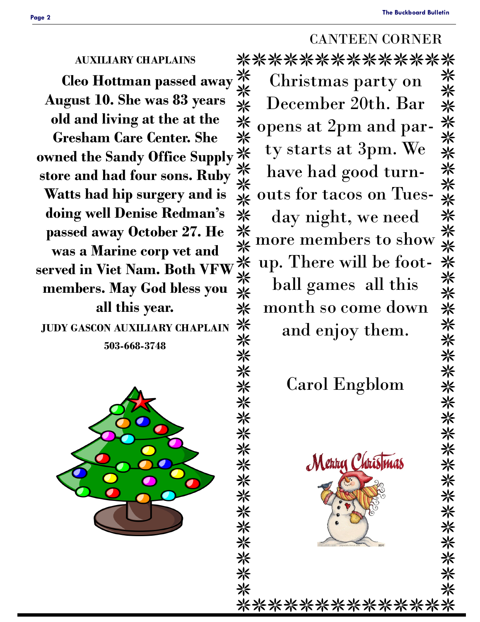### CANTEEN CORNER

### **AUXILIARY CHAPLAINS**

*Cleo Hottman passed away* **\*\*<br>
<b>***x* gust 10. She was 83 years **August 10. She was 83 years old and living at the at the Gresham Care Center. She**  old and living at the at the<br>Gresham Care Center. She<br>womed the Sandy Office Supply  $\frac{1}{N}$ <br>store and had four sons. Ruby  $\frac{1}{N}$ <br>Watts had hip surgery and is **store and had four sons. Ruby Watts had hip surgery and is doing well Denise Redman's passed away October 27. He was a Marine corp vet and served in Viet Nam. Both VFW members. May God bless you all this year.**

**JUDY GASCON AUXILIARY CHAPLAIN 503-668-3748**



\*\*\*\*\*\*\*\*\*\*\*\*\*\* more members to show Christmas party on December 20th. Bar opens at 2pm and party starts at 3pm. We have had good turnouts for tacos on Tues-米米米米 day night, we need up. There will be football games all this 米米米米米米米米米米米米米米米米米 month so come down and enjoy them.

Carol Engblom



\*\*\*\*\*\*\*\*\*\*\*\*\*\*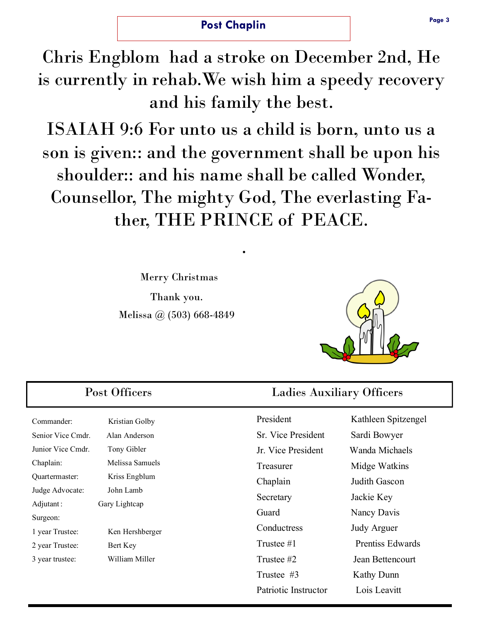### **Post Chaplin**

Chris Engblom had a stroke on December 2nd, He is currently in rehab.We wish him a speedy recovery and his family the best.

ISAIAH 9:6 For unto us a child is born, unto us a son is given:: and the government shall be upon his shoulder:: and his name shall be called Wonder, Counsellor, The mighty God, The everlasting Father, THE PRINCE of PEACE.

.

Merry Christmas

Thank you. Melissa @ (503) 668-4849



Commander: Kristian Golby Senior Vice Cmdr. Alan Anderson Junior Vice Cmdr. Tony Gibler Chaplain: Melissa Samuels Quartermaster: Kriss Engblum Judge Advocate: John Lamb Adjutant: Gary Lightcap

1 year Trustee: Ken Hershberger

3 year trustee: William Miller

2 year Trustee: Bert Key

Surgeon:

### Post Officers Ladies Auxiliary Officers

Sr. Vice President Sardi Bowyer Jr. Vice President Wanda Michaels Treasurer Midge Watkins Chaplain Judith Gascon Secretary Jackie Key Guard Nancy Davis Conductress Judy Arguer Trustee #2 Jean Bettencourt Trustee #3 Kathy Dunn Patriotic Instructor Lois Leavitt

President Kathleen Spitzengel Trustee #1 Prentiss Edwards